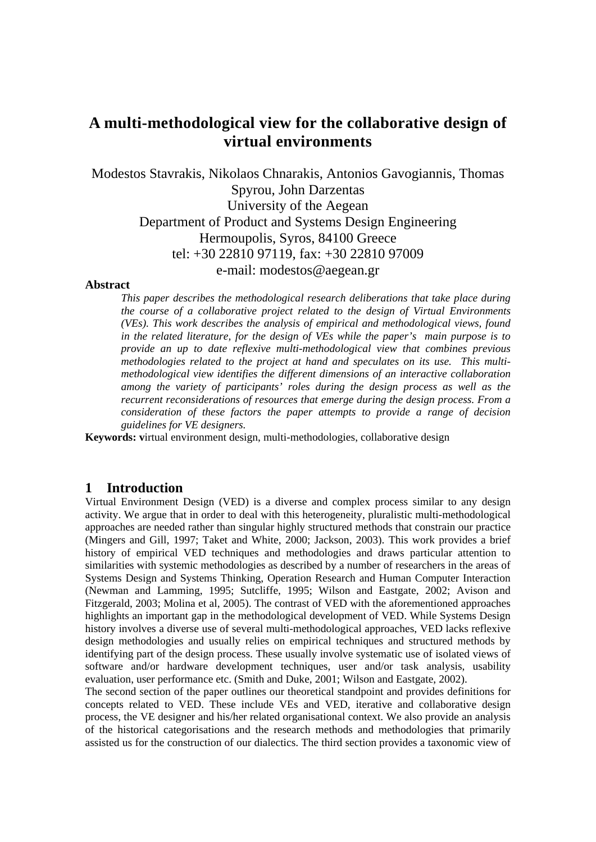# **A multi-methodological view for the collaborative design of virtual environments**

Modestos Stavrakis, Nikolaos Chnarakis, Antonios Gavogiannis, Thomas Spyrou, John Darzentas University of the Aegean Department of Product and Systems Design Engineering Hermoupolis, Syros, 84100 Greece tel: +30 22810 97119, fax: +30 22810 97009 e-mail: modestos@aegean.gr

### **Abstract**

*This paper describes the methodological research deliberations that take place during the course of a collaborative project related to the design of Virtual Environments (VEs). This work describes the analysis of empirical and methodological views, found in the related literature, for the design of VEs while the paper's main purpose is to provide an up to date reflexive multi-methodological view that combines previous methodologies related to the project at hand and speculates on its use. This multimethodological view identifies the different dimensions of an interactive collaboration among the variety of participants' roles during the design process as well as the recurrent reconsiderations of resources that emerge during the design process. From a consideration of these factors the paper attempts to provide a range of decision guidelines for VE designers.*

**Keywords: v**irtual environment design, multi-methodologies, collaborative design

### **1 Introduction**

Virtual Environment Design (VED) is a diverse and complex process similar to any design activity. We argue that in order to deal with this heterogeneity, pluralistic multi-methodological approaches are needed rather than singular highly structured methods that constrain our practice (Mingers and Gill, 1997; Taket and White, 2000; Jackson, 2003). This work provides a brief history of empirical VED techniques and methodologies and draws particular attention to similarities with systemic methodologies as described by a number of researchers in the areas of Systems Design and Systems Thinking, Operation Research and Human Computer Interaction (Newman and Lamming, 1995; Sutcliffe, 1995; Wilson and Eastgate, 2002; Avison and Fitzgerald, 2003; Molina et al, 2005). The contrast of VED with the aforementioned approaches highlights an important gap in the methodological development of VED. While Systems Design history involves a diverse use of several multi-methodological approaches, VED lacks reflexive design methodologies and usually relies on empirical techniques and structured methods by identifying part of the design process. These usually involve systematic use of isolated views of software and/or hardware development techniques, user and/or task analysis, usability evaluation, user performance etc. (Smith and Duke, 2001; Wilson and Eastgate, 2002).

The second section of the paper outlines our theoretical standpoint and provides definitions for concepts related to VED. These include VEs and VED, iterative and collaborative design process, the VE designer and his/her related organisational context. We also provide an analysis of the historical categorisations and the research methods and methodologies that primarily assisted us for the construction of our dialectics. The third section provides a taxonomic view of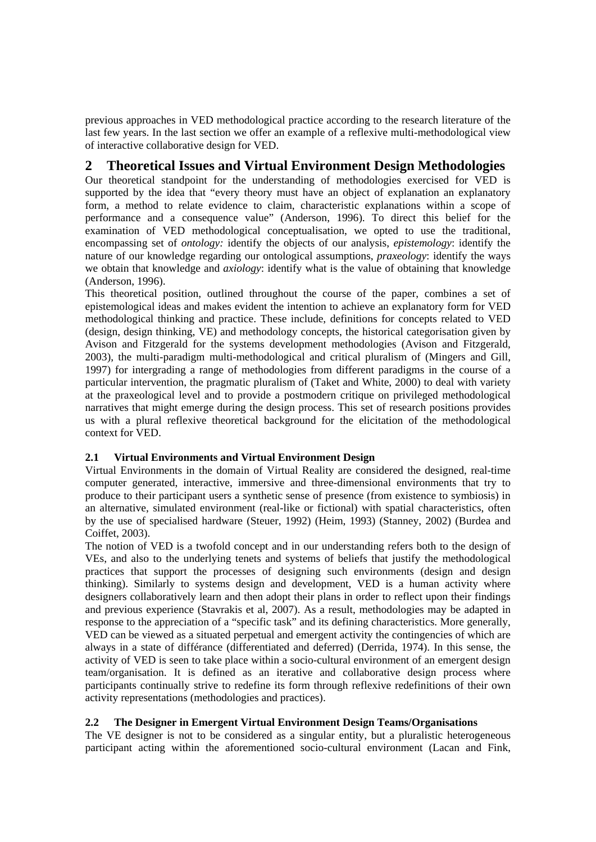previous approaches in VED methodological practice according to the research literature of the last few years. In the last section we offer an example of a reflexive multi-methodological view of interactive collaborative design for VED.

## **2 Theoretical Issues and Virtual Environment Design Methodologies**

Our theoretical standpoint for the understanding of methodologies exercised for VED is supported by the idea that "every theory must have an object of explanation an explanatory form, a method to relate evidence to claim, characteristic explanations within a scope of performance and a consequence value" (Anderson, 1996). To direct this belief for the examination of VED methodological conceptualisation, we opted to use the traditional, encompassing set of *ontology:* identify the objects of our analysis, *epistemology*: identify the nature of our knowledge regarding our ontological assumptions, *praxeology*: identify the ways we obtain that knowledge and *axiology*: identify what is the value of obtaining that knowledge (Anderson, 1996).

This theoretical position, outlined throughout the course of the paper, combines a set of epistemological ideas and makes evident the intention to achieve an explanatory form for VED methodological thinking and practice. These include, definitions for concepts related to VED (design, design thinking, VE) and methodology concepts, the historical categorisation given by Avison and Fitzgerald for the systems development methodologies (Avison and Fitzgerald, 2003), the multi-paradigm multi-methodological and critical pluralism of (Mingers and Gill, 1997) for intergrading a range of methodologies from different paradigms in the course of a particular intervention, the pragmatic pluralism of (Taket and White, 2000) to deal with variety at the praxeological level and to provide a postmodern critique on privileged methodological narratives that might emerge during the design process. This set of research positions provides us with a plural reflexive theoretical background for the elicitation of the methodological context for VED.

## **2.1 Virtual Environments and Virtual Environment Design**

Virtual Environments in the domain of Virtual Reality are considered the designed, real-time computer generated, interactive, immersive and three-dimensional environments that try to produce to their participant users a synthetic sense of presence (from existence to symbiosis) in an alternative, simulated environment (real-like or fictional) with spatial characteristics, often by the use of specialised hardware (Steuer, 1992) (Heim, 1993) (Stanney, 2002) (Burdea and Coiffet, 2003).

The notion of VED is a twofold concept and in our understanding refers both to the design of VEs, and also to the underlying tenets and systems of beliefs that justify the methodological practices that support the processes of designing such environments (design and design thinking). Similarly to systems design and development, VED is a human activity where designers collaboratively learn and then adopt their plans in order to reflect upon their findings and previous experience (Stavrakis et al, 2007). As a result, methodologies may be adapted in response to the appreciation of a "specific task" and its defining characteristics. More generally, VED can be viewed as a situated perpetual and emergent activity the contingencies of which are always in a state of différance (differentiated and deferred) (Derrida, 1974). In this sense, the activity of VED is seen to take place within a socio-cultural environment of an emergent design team/organisation. It is defined as an iterative and collaborative design process where participants continually strive to redefine its form through reflexive redefinitions of their own activity representations (methodologies and practices).

## **2.2 The Designer in Emergent Virtual Environment Design Teams/Organisations**

The VE designer is not to be considered as a singular entity, but a pluralistic heterogeneous participant acting within the aforementioned socio-cultural environment (Lacan and Fink,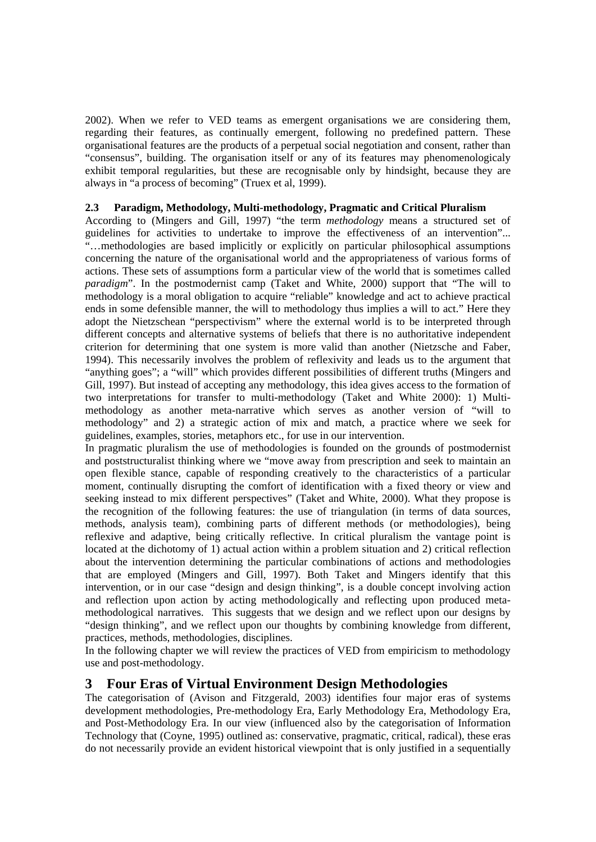2002). When we refer to VED teams as emergent organisations we are considering them, regarding their features, as continually emergent, following no predefined pattern. These organisational features are the products of a perpetual social negotiation and consent, rather than "consensus", building. The organisation itself or any of its features may phenomenologicaly exhibit temporal regularities, but these are recognisable only by hindsight, because they are always in "a process of becoming" (Truex et al, 1999).

## **2.3 Paradigm, Methodology, Multi-methodology, Pragmatic and Critical Pluralism**

According to (Mingers and Gill, 1997) "the term *methodology* means a structured set of guidelines for activities to undertake to improve the effectiveness of an intervention"... "…methodologies are based implicitly or explicitly on particular philosophical assumptions concerning the nature of the organisational world and the appropriateness of various forms of actions. These sets of assumptions form a particular view of the world that is sometimes called *paradigm*". In the postmodernist camp (Taket and White, 2000) support that "The will to methodology is a moral obligation to acquire "reliable" knowledge and act to achieve practical ends in some defensible manner, the will to methodology thus implies a will to act." Here they adopt the Nietzschean "perspectivism" where the external world is to be interpreted through different concepts and alternative systems of beliefs that there is no authoritative independent criterion for determining that one system is more valid than another (Nietzsche and Faber, 1994). This necessarily involves the problem of reflexivity and leads us to the argument that "anything goes"; a "will" which provides different possibilities of different truths (Mingers and Gill, 1997). But instead of accepting any methodology, this idea gives access to the formation of two interpretations for transfer to multi-methodology (Taket and White 2000): 1) Multimethodology as another meta-narrative which serves as another version of "will to methodology" and 2) a strategic action of mix and match, a practice where we seek for guidelines, examples, stories, metaphors etc., for use in our intervention.

In pragmatic pluralism the use of methodologies is founded on the grounds of postmodernist and poststructuralist thinking where we "move away from prescription and seek to maintain an open flexible stance, capable of responding creatively to the characteristics of a particular moment, continually disrupting the comfort of identification with a fixed theory or view and seeking instead to mix different perspectives" (Taket and White, 2000). What they propose is the recognition of the following features: the use of triangulation (in terms of data sources, methods, analysis team), combining parts of different methods (or methodologies), being reflexive and adaptive, being critically reflective. In critical pluralism the vantage point is located at the dichotomy of 1) actual action within a problem situation and 2) critical reflection about the intervention determining the particular combinations of actions and methodologies that are employed (Mingers and Gill, 1997). Both Taket and Mingers identify that this intervention, or in our case "design and design thinking", is a double concept involving action and reflection upon action by acting methodologically and reflecting upon produced metamethodological narratives. This suggests that we design and we reflect upon our designs by "design thinking", and we reflect upon our thoughts by combining knowledge from different, practices, methods, methodologies, disciplines.

In the following chapter we will review the practices of VED from empiricism to methodology use and post-methodology.

## **3 Four Eras of Virtual Environment Design Methodologies**

The categorisation of (Avison and Fitzgerald, 2003) identifies four major eras of systems development methodologies, Pre-methodology Era, Early Methodology Era, Methodology Era, and Post-Methodology Era. In our view (influenced also by the categorisation of Information Technology that (Coyne, 1995) outlined as: conservative, pragmatic, critical, radical), these eras do not necessarily provide an evident historical viewpoint that is only justified in a sequentially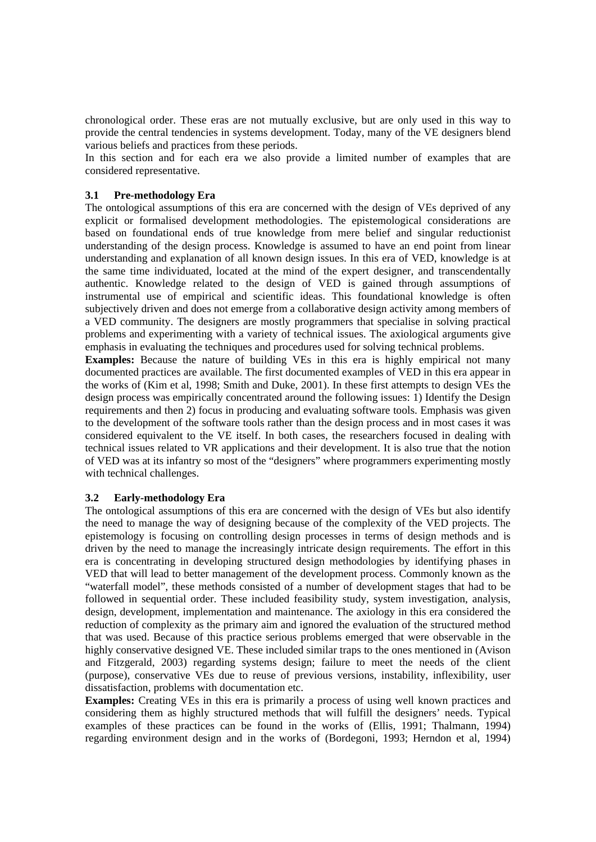chronological order. These eras are not mutually exclusive, but are only used in this way to provide the central tendencies in systems development. Today, many of the VE designers blend various beliefs and practices from these periods.

In this section and for each era we also provide a limited number of examples that are considered representative.

### **3.1 Pre-methodology Era**

The ontological assumptions of this era are concerned with the design of VEs deprived of any explicit or formalised development methodologies. The epistemological considerations are based on foundational ends of true knowledge from mere belief and singular reductionist understanding of the design process. Knowledge is assumed to have an end point from linear understanding and explanation of all known design issues. In this era of VED, knowledge is at the same time individuated, located at the mind of the expert designer, and transcendentally authentic. Knowledge related to the design of VED is gained through assumptions of instrumental use of empirical and scientific ideas. This foundational knowledge is often subjectively driven and does not emerge from a collaborative design activity among members of a VED community. The designers are mostly programmers that specialise in solving practical problems and experimenting with a variety of technical issues. The axiological arguments give emphasis in evaluating the techniques and procedures used for solving technical problems.

**Examples:** Because the nature of building VEs in this era is highly empirical not many documented practices are available. The first documented examples of VED in this era appear in the works of (Kim et al, 1998; Smith and Duke, 2001). In these first attempts to design VEs the design process was empirically concentrated around the following issues: 1) Identify the Design requirements and then 2) focus in producing and evaluating software tools. Emphasis was given to the development of the software tools rather than the design process and in most cases it was considered equivalent to the VE itself. In both cases, the researchers focused in dealing with technical issues related to VR applications and their development. It is also true that the notion of VED was at its infantry so most of the "designers" where programmers experimenting mostly with technical challenges.

### **3.2 Early-methodology Era**

The ontological assumptions of this era are concerned with the design of VEs but also identify the need to manage the way of designing because of the complexity of the VED projects. The epistemology is focusing on controlling design processes in terms of design methods and is driven by the need to manage the increasingly intricate design requirements. The effort in this era is concentrating in developing structured design methodologies by identifying phases in VED that will lead to better management of the development process. Commonly known as the "waterfall model", these methods consisted of a number of development stages that had to be followed in sequential order. These included feasibility study, system investigation, analysis, design, development, implementation and maintenance. The axiology in this era considered the reduction of complexity as the primary aim and ignored the evaluation of the structured method that was used. Because of this practice serious problems emerged that were observable in the highly conservative designed VE. These included similar traps to the ones mentioned in (Avison and Fitzgerald, 2003) regarding systems design; failure to meet the needs of the client (purpose), conservative VEs due to reuse of previous versions, instability, inflexibility, user dissatisfaction, problems with documentation etc.

**Examples:** Creating VEs in this era is primarily a process of using well known practices and considering them as highly structured methods that will fulfill the designers' needs. Typical examples of these practices can be found in the works of (Ellis, 1991; Thalmann, 1994) regarding environment design and in the works of (Bordegoni, 1993; Herndon et al, 1994)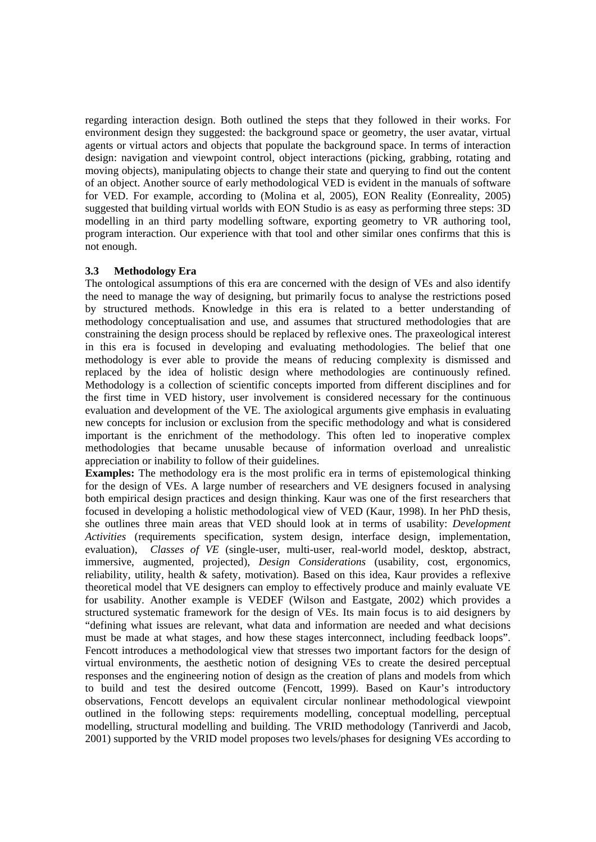regarding interaction design. Both outlined the steps that they followed in their works. For environment design they suggested: the background space or geometry, the user avatar, virtual agents or virtual actors and objects that populate the background space. In terms of interaction design: navigation and viewpoint control, object interactions (picking, grabbing, rotating and moving objects), manipulating objects to change their state and querying to find out the content of an object. Another source of early methodological VED is evident in the manuals of software for VED. For example, according to (Molina et al, 2005), EON Reality (Eonreality, 2005) suggested that building virtual worlds with EON Studio is as easy as performing three steps: 3D modelling in an third party modelling software, exporting geometry to VR authoring tool, program interaction. Our experience with that tool and other similar ones confirms that this is not enough.

## **3.3 Methodology Era**

The ontological assumptions of this era are concerned with the design of VEs and also identify the need to manage the way of designing, but primarily focus to analyse the restrictions posed by structured methods. Knowledge in this era is related to a better understanding of methodology conceptualisation and use, and assumes that structured methodologies that are constraining the design process should be replaced by reflexive ones. The praxeological interest in this era is focused in developing and evaluating methodologies. The belief that one methodology is ever able to provide the means of reducing complexity is dismissed and replaced by the idea of holistic design where methodologies are continuously refined. Methodology is a collection of scientific concepts imported from different disciplines and for the first time in VED history, user involvement is considered necessary for the continuous evaluation and development of the VE. The axiological arguments give emphasis in evaluating new concepts for inclusion or exclusion from the specific methodology and what is considered important is the enrichment of the methodology. This often led to inoperative complex methodologies that became unusable because of information overload and unrealistic appreciation or inability to follow of their guidelines.

**Examples:** The methodology era is the most prolific era in terms of epistemological thinking for the design of VEs. A large number of researchers and VE designers focused in analysing both empirical design practices and design thinking. Kaur was one of the first researchers that focused in developing a holistic methodological view of VED (Kaur, 1998). In her PhD thesis, she outlines three main areas that VED should look at in terms of usability: *Development Activities* (requirements specification, system design, interface design, implementation, evaluation), *Classes of VE* (single-user, multi-user, real-world model, desktop, abstract, immersive, augmented, projected), *Design Considerations* (usability, cost, ergonomics, reliability, utility, health  $\&$  safety, motivation). Based on this idea, Kaur provides a reflexive theoretical model that VE designers can employ to effectively produce and mainly evaluate VE for usability. Another example is VEDEF (Wilson and Eastgate, 2002) which provides a structured systematic framework for the design of VEs. Its main focus is to aid designers by "defining what issues are relevant, what data and information are needed and what decisions must be made at what stages, and how these stages interconnect, including feedback loops". Fencott introduces a methodological view that stresses two important factors for the design of virtual environments, the aesthetic notion of designing VEs to create the desired perceptual responses and the engineering notion of design as the creation of plans and models from which to build and test the desired outcome (Fencott, 1999). Based on Kaur's introductory observations, Fencott develops an equivalent circular nonlinear methodological viewpoint outlined in the following steps: requirements modelling, conceptual modelling, perceptual modelling, structural modelling and building. The VRID methodology (Tanriverdi and Jacob, 2001) supported by the VRID model proposes two levels/phases for designing VEs according to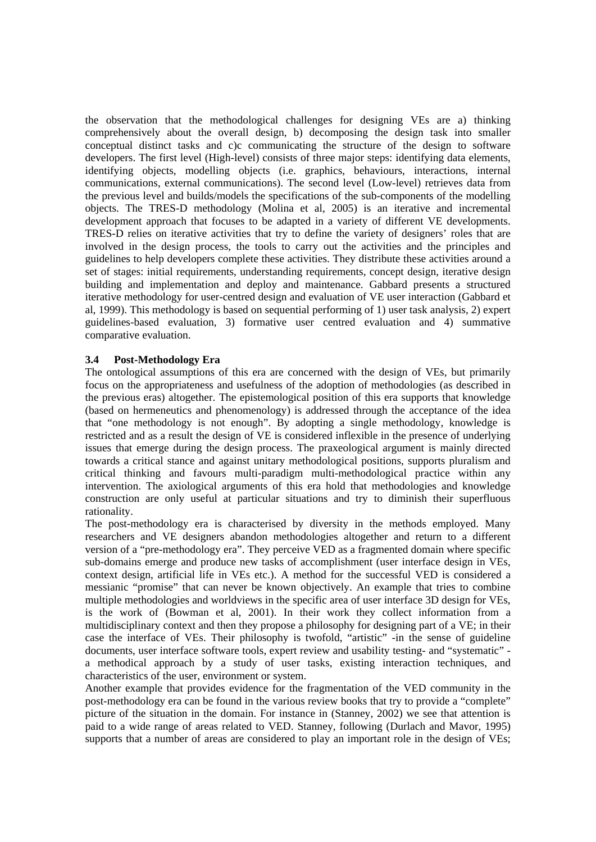the observation that the methodological challenges for designing VEs are a) thinking comprehensively about the overall design, b) decomposing the design task into smaller conceptual distinct tasks and c)c communicating the structure of the design to software developers. The first level (High-level) consists of three major steps: identifying data elements, identifying objects, modelling objects (i.e. graphics, behaviours, interactions, internal communications, external communications). The second level (Low-level) retrieves data from the previous level and builds/models the specifications of the sub-components of the modelling objects. The TRES-D methodology (Molina et al, 2005) is an iterative and incremental development approach that focuses to be adapted in a variety of different VE developments. TRES-D relies on iterative activities that try to define the variety of designers' roles that are involved in the design process, the tools to carry out the activities and the principles and guidelines to help developers complete these activities. They distribute these activities around a set of stages: initial requirements, understanding requirements, concept design, iterative design building and implementation and deploy and maintenance. Gabbard presents a structured iterative methodology for user-centred design and evaluation of VE user interaction (Gabbard et al, 1999). This methodology is based on sequential performing of 1) user task analysis, 2) expert guidelines-based evaluation, 3) formative user centred evaluation and 4) summative comparative evaluation.

## **3.4 Post-Methodology Era**

The ontological assumptions of this era are concerned with the design of VEs, but primarily focus on the appropriateness and usefulness of the adoption of methodologies (as described in the previous eras) altogether. The epistemological position of this era supports that knowledge (based on hermeneutics and phenomenology) is addressed through the acceptance of the idea that "one methodology is not enough". By adopting a single methodology, knowledge is restricted and as a result the design of VE is considered inflexible in the presence of underlying issues that emerge during the design process. The praxeological argument is mainly directed towards a critical stance and against unitary methodological positions, supports pluralism and critical thinking and favours multi-paradigm multi-methodological practice within any intervention. The axiological arguments of this era hold that methodologies and knowledge construction are only useful at particular situations and try to diminish their superfluous rationality.

The post-methodology era is characterised by diversity in the methods employed. Many researchers and VE designers abandon methodologies altogether and return to a different version of a "pre-methodology era". They perceive VED as a fragmented domain where specific sub-domains emerge and produce new tasks of accomplishment (user interface design in VEs, context design, artificial life in VEs etc.). A method for the successful VED is considered a messianic "promise" that can never be known objectively. An example that tries to combine multiple methodologies and worldviews in the specific area of user interface 3D design for VEs, is the work of (Bowman et al, 2001). In their work they collect information from a multidisciplinary context and then they propose a philosophy for designing part of a VE; in their case the interface of VEs. Their philosophy is twofold, "artistic" -in the sense of guideline documents, user interface software tools, expert review and usability testing- and "systematic" a methodical approach by a study of user tasks, existing interaction techniques, and characteristics of the user, environment or system.

Another example that provides evidence for the fragmentation of the VED community in the post-methodology era can be found in the various review books that try to provide a "complete" picture of the situation in the domain. For instance in (Stanney, 2002) we see that attention is paid to a wide range of areas related to VED. Stanney, following (Durlach and Mavor, 1995) supports that a number of areas are considered to play an important role in the design of VEs;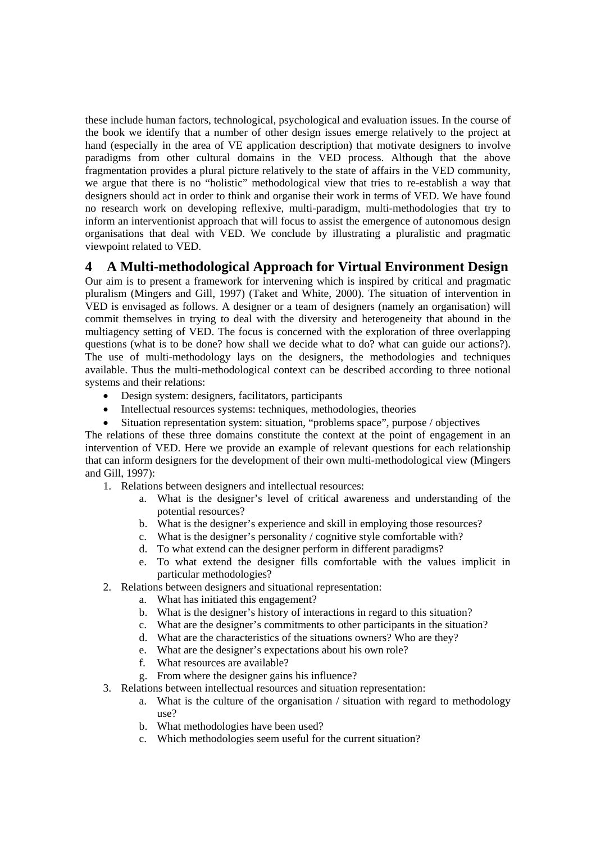these include human factors, technological, psychological and evaluation issues. In the course of the book we identify that a number of other design issues emerge relatively to the project at hand (especially in the area of VE application description) that motivate designers to involve paradigms from other cultural domains in the VED process. Although that the above fragmentation provides a plural picture relatively to the state of affairs in the VED community, we argue that there is no "holistic" methodological view that tries to re-establish a way that designers should act in order to think and organise their work in terms of VED. We have found no research work on developing reflexive, multi-paradigm, multi-methodologies that try to inform an interventionist approach that will focus to assist the emergence of autonomous design organisations that deal with VED. We conclude by illustrating a pluralistic and pragmatic viewpoint related to VED.

## **4 A Multi-methodological Approach for Virtual Environment Design**

Our aim is to present a framework for intervening which is inspired by critical and pragmatic pluralism (Mingers and Gill, 1997) (Taket and White, 2000). The situation of intervention in VED is envisaged as follows. A designer or a team of designers (namely an organisation) will commit themselves in trying to deal with the diversity and heterogeneity that abound in the multiagency setting of VED. The focus is concerned with the exploration of three overlapping questions (what is to be done? how shall we decide what to do? what can guide our actions?). The use of multi-methodology lays on the designers, the methodologies and techniques available. Thus the multi-methodological context can be described according to three notional systems and their relations:

- Design system: designers, facilitators, participants
- Intellectual resources systems: techniques, methodologies, theories
- Situation representation system: situation, "problems space", purpose / objectives

The relations of these three domains constitute the context at the point of engagement in an intervention of VED. Here we provide an example of relevant questions for each relationship that can inform designers for the development of their own multi-methodological view (Mingers and Gill, 1997):

- 1. Relations between designers and intellectual resources:
	- a. What is the designer's level of critical awareness and understanding of the potential resources?
	- b. What is the designer's experience and skill in employing those resources?
	- c. What is the designer's personality / cognitive style comfortable with?
	- d. To what extend can the designer perform in different paradigms?
	- e. To what extend the designer fills comfortable with the values implicit in particular methodologies?
- 2. Relations between designers and situational representation:
	- a. What has initiated this engagement?
	- b. What is the designer's history of interactions in regard to this situation?
	- c. What are the designer's commitments to other participants in the situation?
	- d. What are the characteristics of the situations owners? Who are they?
	- e. What are the designer's expectations about his own role?
	- f. What resources are available?
	- g. From where the designer gains his influence?
- 3. Relations between intellectual resources and situation representation:
	- a. What is the culture of the organisation / situation with regard to methodology use?
	- b. What methodologies have been used?
	- c. Which methodologies seem useful for the current situation?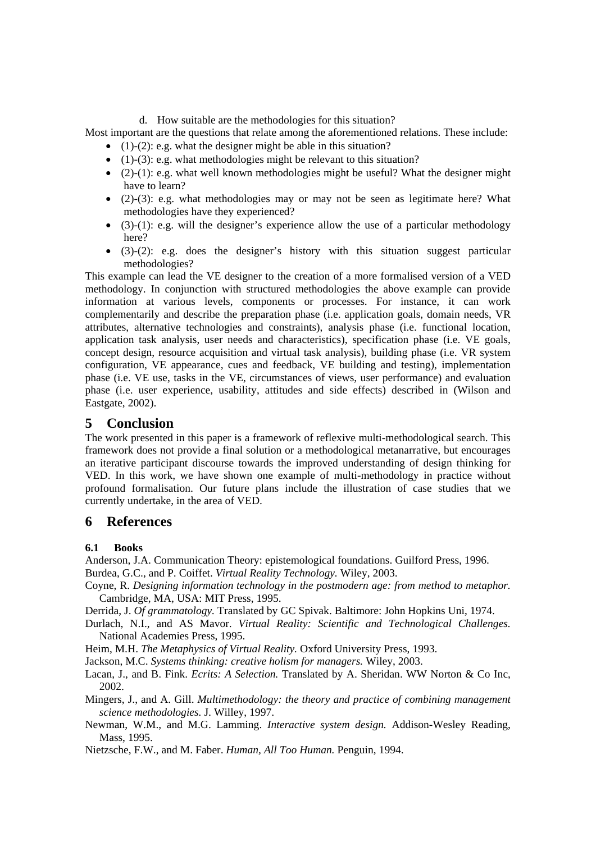### d. How suitable are the methodologies for this situation?

Most important are the questions that relate among the aforementioned relations. These include:

- $\bullet$  (1)-(2): e.g. what the designer might be able in this situation?
- (1)-(3): e.g. what methodologies might be relevant to this situation?
- (2)-(1): e.g. what well known methodologies might be useful? What the designer might have to learn?
- (2)-(3): e.g. what methodologies may or may not be seen as legitimate here? What methodologies have they experienced?
- $\bullet$  (3)-(1): e.g. will the designer's experience allow the use of a particular methodology here?
- (3)-(2): e.g. does the designer's history with this situation suggest particular methodologies?

This example can lead the VE designer to the creation of a more formalised version of a VED methodology. In conjunction with structured methodologies the above example can provide information at various levels, components or processes. For instance, it can work complementarily and describe the preparation phase (i.e. application goals, domain needs, VR attributes, alternative technologies and constraints), analysis phase (i.e. functional location, application task analysis, user needs and characteristics), specification phase (i.e. VE goals, concept design, resource acquisition and virtual task analysis), building phase (i.e. VR system configuration, VE appearance, cues and feedback, VE building and testing), implementation phase (i.e. VE use, tasks in the VE, circumstances of views, user performance) and evaluation phase (i.e. user experience, usability, attitudes and side effects) described in (Wilson and Eastgate, 2002).

## **5 Conclusion**

The work presented in this paper is a framework of reflexive multi-methodological search. This framework does not provide a final solution or a methodological metanarrative, but encourages an iterative participant discourse towards the improved understanding of design thinking for VED. In this work, we have shown one example of multi-methodology in practice without profound formalisation. Our future plans include the illustration of case studies that we currently undertake, in the area of VED.

## **6 References**

## **6.1 Books**

Anderson, J.A. Communication Theory: epistemological foundations. Guilford Press, 1996. Burdea, G.C., and P. Coiffet. *Virtual Reality Technology.* Wiley, 2003.

- Coyne, R. *Designing information technology in the postmodern age: from method to metaphor.* Cambridge, MA, USA: MIT Press, 1995.
- Derrida, J. *Of grammatology.* Translated by GC Spivak. Baltimore: John Hopkins Uni, 1974.
- Durlach, N.I., and AS Mavor. *Virtual Reality: Scientific and Technological Challenges.* National Academies Press, 1995.
- Heim, M.H. *The Metaphysics of Virtual Reality.* Oxford University Press, 1993.

Jackson, M.C. *Systems thinking: creative holism for managers.* Wiley, 2003.

- Lacan, J., and B. Fink. *Ecrits: A Selection.* Translated by A. Sheridan. WW Norton & Co Inc, 2002.
- Mingers, J., and A. Gill. *Multimethodology: the theory and practice of combining management science methodologies.* J. Willey, 1997.
- Newman, W.M., and M.G. Lamming. *Interactive system design.* Addison-Wesley Reading, Mass, 1995.

Nietzsche, F.W., and M. Faber. *Human, All Too Human.* Penguin, 1994.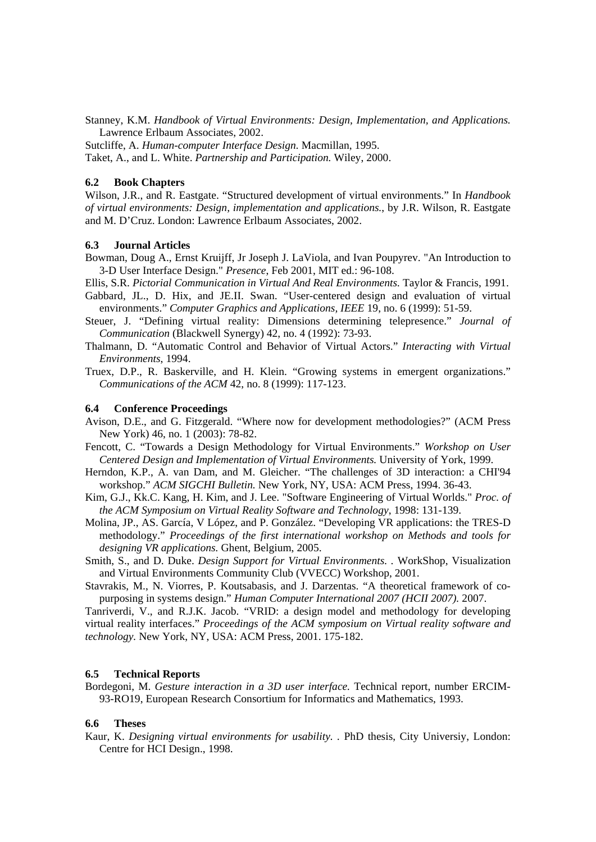Stanney, K.M. *Handbook of Virtual Environments: Design, Implementation, and Applications.* Lawrence Erlbaum Associates, 2002.

Sutcliffe, A. *Human-computer Interface Design.* Macmillan, 1995. Taket, A., and L. White. *Partnership and Participation.* Wiley, 2000.

#### **6.2 Book Chapters**

Wilson, J.R., and R. Eastgate. "Structured development of virtual environments." In *Handbook of virtual environments: Design, implementation and applications.*, by J.R. Wilson, R. Eastgate and M. D'Cruz. London: Lawrence Erlbaum Associates, 2002.

#### **6.3 Journal Articles**

Bowman, Doug A., Ernst Kruijff, Jr Joseph J. LaViola, and Ivan Poupyrev. "An Introduction to 3-D User Interface Design." *Presence*, Feb 2001, MIT ed.: 96-108.

Ellis, S.R. *Pictorial Communication in Virtual And Real Environments.* Taylor & Francis, 1991.

- Gabbard, JL., D. Hix, and JE.II. Swan. "User-centered design and evaluation of virtual environments." *Computer Graphics and Applications, IEEE* 19, no. 6 (1999): 51-59.
- Steuer, J. "Defining virtual reality: Dimensions determining telepresence." *Journal of Communication* (Blackwell Synergy) 42, no. 4 (1992): 73-93.
- Thalmann, D. "Automatic Control and Behavior of Virtual Actors." *Interacting with Virtual Environments*, 1994.
- Truex, D.P., R. Baskerville, and H. Klein. "Growing systems in emergent organizations." *Communications of the ACM* 42, no. 8 (1999): 117-123.

#### **6.4 Conference Proceedings**

- Avison, D.E., and G. Fitzgerald. "Where now for development methodologies?" (ACM Press New York) 46, no. 1 (2003): 78-82.
- Fencott, C. "Towards a Design Methodology for Virtual Environments." *Workshop on User Centered Design and Implementation of Virtual Environments.* University of York, 1999.
- Herndon, K.P., A. van Dam, and M. Gleicher. "The challenges of 3D interaction: a CHI'94 workshop." *ACM SIGCHI Bulletin.* New York, NY, USA: ACM Press, 1994. 36-43.
- Kim, G.J., Kk.C. Kang, H. Kim, and J. Lee. "Software Engineering of Virtual Worlds." *Proc. of the ACM Symposium on Virtual Reality Software and Technology*, 1998: 131-139.
- Molina, JP., AS. García, V López, and P. González. "Developing VR applications: the TRES-D methodology." *Proceedings of the first international workshop on Methods and tools for designing VR applications.* Ghent, Belgium, 2005.
- Smith, S., and D. Duke. *Design Support for Virtual Environments. .* WorkShop, Visualization and Virtual Environments Community Club (VVECC) Workshop, 2001.
- Stavrakis, M., N. Viorres, P. Koutsabasis, and J. Darzentas. "A theoretical framework of copurposing in systems design." *Human Computer International 2007 (HCII 2007).* 2007.

Tanriverdi, V., and R.J.K. Jacob. "VRID: a design model and methodology for developing virtual reality interfaces." *Proceedings of the ACM symposium on Virtual reality software and technology.* New York, NY, USA: ACM Press, 2001. 175-182.

#### **6.5 Technical Reports**

Bordegoni, M. *Gesture interaction in a 3D user interface.* Technical report, number ERCIM-93-RO19, European Research Consortium for Informatics and Mathematics, 1993.

#### **6.6 Theses**

Kaur, K. *Designing virtual environments for usability. .* PhD thesis, City Universiy, London: Centre for HCI Design., 1998.